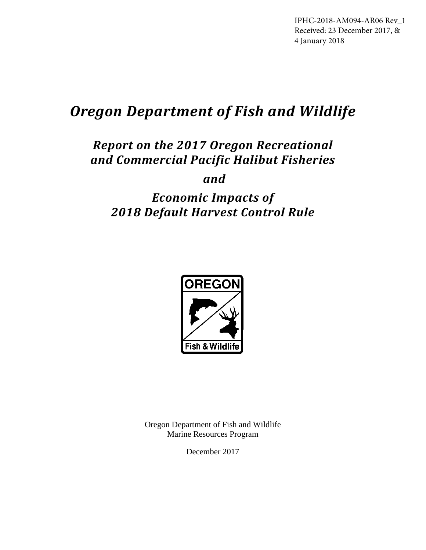IPHC-2018-AM094-AR06 Rev\_1 Received: 23 December 2017, & 4 January 2018

# *Oregon Department of Fish and Wildlife*

## *Report on the 2017 Oregon Recreational and Commercial Pacific Halibut Fisheries*

 *and*

## *Economic Impacts of 2018 Default Harvest Control Rule*



Oregon Department of Fish and Wildlife Marine Resources Program

December 2017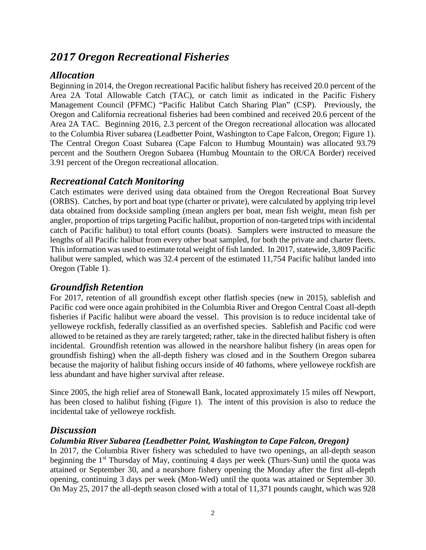## *2017 Oregon Recreational Fisheries*

## *Allocation*

Beginning in 2014, the Oregon recreational Pacific halibut fishery has received 20.0 percent of the Area 2A Total Allowable Catch (TAC), or catch limit as indicated in the Pacific Fishery Management Council (PFMC) "Pacific Halibut Catch Sharing Plan" (CSP). Previously, the Oregon and California recreational fisheries had been combined and received 20.6 percent of the Area 2A TAC. Beginning 2016, 2.3 percent of the Oregon recreational allocation was allocated to the Columbia River subarea (Leadbetter Point, Washington to Cape Falcon, Oregon; Figure 1). The Central Oregon Coast Subarea (Cape Falcon to Humbug Mountain) was allocated 93.79 percent and the Southern Oregon Subarea (Humbug Mountain to the OR/CA Border) received 3.91 percent of the Oregon recreational allocation.

### *Recreational Catch Monitoring*

Catch estimates were derived using data obtained from the Oregon Recreational Boat Survey (ORBS). Catches, by port and boat type (charter or private), were calculated by applying trip level data obtained from dockside sampling (mean anglers per boat, mean fish weight, mean fish per angler, proportion of trips targeting Pacific halibut, proportion of non-targeted trips with incidental catch of Pacific halibut) to total effort counts (boats). Samplers were instructed to measure the lengths of all Pacific halibut from every other boat sampled, for both the private and charter fleets. This information was used to estimate total weight of fish landed. In 2017, statewide, 3,809 Pacific halibut were sampled, which was 32.4 percent of the estimated 11,754 Pacific halibut landed into Oregon (Table 1).

### *Groundfish Retention*

For 2017, retention of all groundfish except other flatfish species (new in 2015), sablefish and Pacific cod were once again prohibited in the Columbia River and Oregon Central Coast all-depth fisheries if Pacific halibut were aboard the vessel. This provision is to reduce incidental take of yelloweye rockfish, federally classified as an overfished species. Sablefish and Pacific cod were allowed to be retained as they are rarely targeted; rather, take in the directed halibut fishery is often incidental. Groundfish retention was allowed in the nearshore halibut fishery (in areas open for groundfish fishing) when the all-depth fishery was closed and in the Southern Oregon subarea because the majority of halibut fishing occurs inside of 40 fathoms, where yelloweye rockfish are less abundant and have higher survival after release.

Since 2005, the high relief area of Stonewall Bank, located approximately 15 miles off Newport, has been closed to halibut fishing (Figure 1). The intent of this provision is also to reduce the incidental take of yelloweye rockfish.

### *Discussion*

#### *Columbia River Subarea (Leadbetter Point, Washington to Cape Falcon, Oregon)*

In 2017, the Columbia River fishery was scheduled to have two openings, an all-depth season beginning the 1<sup>st</sup> Thursday of May, continuing 4 days per week (Thurs-Sun) until the quota was attained or September 30, and a nearshore fishery opening the Monday after the first all-depth opening, continuing 3 days per week (Mon-Wed) until the quota was attained or September 30. On May 25, 2017 the all-depth season closed with a total of 11,371 pounds caught, which was 928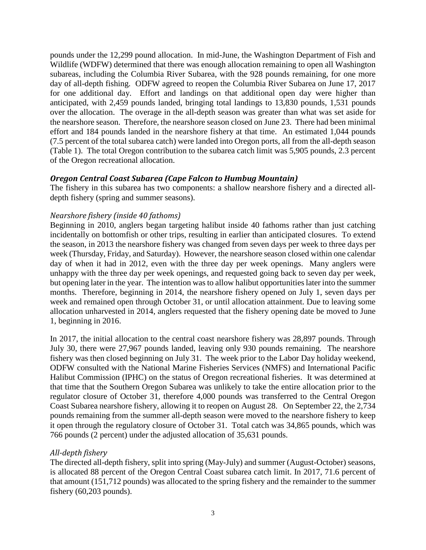pounds under the 12,299 pound allocation. In mid-June, the Washington Department of Fish and Wildlife (WDFW) determined that there was enough allocation remaining to open all Washington subareas, including the Columbia River Subarea, with the 928 pounds remaining, for one more day of all-depth fishing. ODFW agreed to reopen the Columbia River Subarea on June 17, 2017 for one additional day. Effort and landings on that additional open day were higher than anticipated, with 2,459 pounds landed, bringing total landings to 13,830 pounds, 1,531 pounds over the allocation. The overage in the all-depth season was greater than what was set aside for the nearshore season. Therefore, the nearshore season closed on June 23. There had been minimal effort and 184 pounds landed in the nearshore fishery at that time. An estimated 1,044 pounds (7.5 percent of the total subarea catch) were landed into Oregon ports, all from the all-depth season (Table 1). The total Oregon contribution to the subarea catch limit was 5,905 pounds, 2.3 percent of the Oregon recreational allocation.

#### *Oregon Central Coast Subarea (Cape Falcon to Humbug Mountain)*

The fishery in this subarea has two components: a shallow nearshore fishery and a directed alldepth fishery (spring and summer seasons).

#### *Nearshore fishery (inside 40 fathoms)*

Beginning in 2010, anglers began targeting halibut inside 40 fathoms rather than just catching incidentally on bottomfish or other trips, resulting in earlier than anticipated closures. To extend the season, in 2013 the nearshore fishery was changed from seven days per week to three days per week (Thursday, Friday, and Saturday). However, the nearshore season closed within one calendar day of when it had in 2012, even with the three day per week openings. Many anglers were unhappy with the three day per week openings, and requested going back to seven day per week, but opening later in the year. The intention was to allow halibut opportunities later into the summer months. Therefore, beginning in 2014, the nearshore fishery opened on July 1, seven days per week and remained open through October 31, or until allocation attainment. Due to leaving some allocation unharvested in 2014, anglers requested that the fishery opening date be moved to June 1, beginning in 2016.

In 2017, the initial allocation to the central coast nearshore fishery was 28,897 pounds. Through July 30, there were 27,967 pounds landed, leaving only 930 pounds remaining. The nearshore fishery was then closed beginning on July 31. The week prior to the Labor Day holiday weekend, ODFW consulted with the National Marine Fisheries Services (NMFS) and International Pacific Halibut Commission (IPHC) on the status of Oregon recreational fisheries. It was determined at that time that the Southern Oregon Subarea was unlikely to take the entire allocation prior to the regulator closure of October 31, therefore 4,000 pounds was transferred to the Central Oregon Coast Subarea nearshore fishery, allowing it to reopen on August 28. On September 22, the 2,734 pounds remaining from the summer all-depth season were moved to the nearshore fishery to keep it open through the regulatory closure of October 31. Total catch was 34,865 pounds, which was 766 pounds (2 percent) under the adjusted allocation of 35,631 pounds.

#### *All-depth fishery*

The directed all-depth fishery, split into spring (May-July) and summer (August-October) seasons, is allocated 88 percent of the Oregon Central Coast subarea catch limit. In 2017, 71.6 percent of that amount (151,712 pounds) was allocated to the spring fishery and the remainder to the summer fishery (60,203 pounds).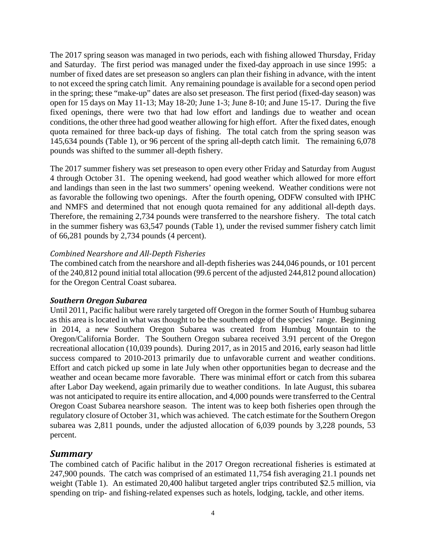The 2017 spring season was managed in two periods, each with fishing allowed Thursday, Friday and Saturday. The first period was managed under the fixed-day approach in use since 1995: a number of fixed dates are set preseason so anglers can plan their fishing in advance, with the intent to not exceed the spring catch limit. Any remaining poundage is available for a second open period in the spring; these "make-up" dates are also set preseason. The first period (fixed-day season) was open for 15 days on May 11-13; May 18-20; June 1-3; June 8-10; and June 15-17. During the five fixed openings, there were two that had low effort and landings due to weather and ocean conditions, the other three had good weather allowing for high effort. After the fixed dates, enough quota remained for three back-up days of fishing. The total catch from the spring season was 145,634 pounds (Table 1), or 96 percent of the spring all-depth catch limit. The remaining 6,078 pounds was shifted to the summer all-depth fishery.

The 2017 summer fishery was set preseason to open every other Friday and Saturday from August 4 through October 31. The opening weekend, had good weather which allowed for more effort and landings than seen in the last two summers' opening weekend. Weather conditions were not as favorable the following two openings. After the fourth opening, ODFW consulted with IPHC and NMFS and determined that not enough quota remained for any additional all-depth days. Therefore, the remaining 2,734 pounds were transferred to the nearshore fishery. The total catch in the summer fishery was 63,547 pounds (Table 1), under the revised summer fishery catch limit of 66,281 pounds by 2,734 pounds (4 percent).

#### *Combined Nearshore and All-Depth Fisheries*

The combined catch from the nearshore and all-depth fisheries was 244,046 pounds, or 101 percent of the 240,812 pound initial total allocation (99.6 percent of the adjusted 244,812 pound allocation) for the Oregon Central Coast subarea.

#### *Southern Oregon Subarea*

Until 2011, Pacific halibut were rarely targeted off Oregon in the former South of Humbug subarea as this area is located in what was thought to be the southern edge of the species' range. Beginning in 2014, a new Southern Oregon Subarea was created from Humbug Mountain to the Oregon/California Border. The Southern Oregon subarea received 3.91 percent of the Oregon recreational allocation (10,039 pounds). During 2017, as in 2015 and 2016, early season had little success compared to 2010-2013 primarily due to unfavorable current and weather conditions. Effort and catch picked up some in late July when other opportunities began to decrease and the weather and ocean became more favorable. There was minimal effort or catch from this subarea after Labor Day weekend, again primarily due to weather conditions. In late August, this subarea was not anticipated to require its entire allocation, and 4,000 pounds were transferred to the Central Oregon Coast Subarea nearshore season. The intent was to keep both fisheries open through the regulatory closure of October 31, which was achieved. The catch estimate for the Southern Oregon subarea was 2,811 pounds, under the adjusted allocation of 6,039 pounds by 3,228 pounds, 53 percent.

#### *Summary*

The combined catch of Pacific halibut in the 2017 Oregon recreational fisheries is estimated at 247,900 pounds. The catch was comprised of an estimated 11,754 fish averaging 21.1 pounds net weight (Table 1). An estimated 20,400 halibut targeted angler trips contributed \$2.5 million, via spending on trip- and fishing-related expenses such as hotels, lodging, tackle, and other items.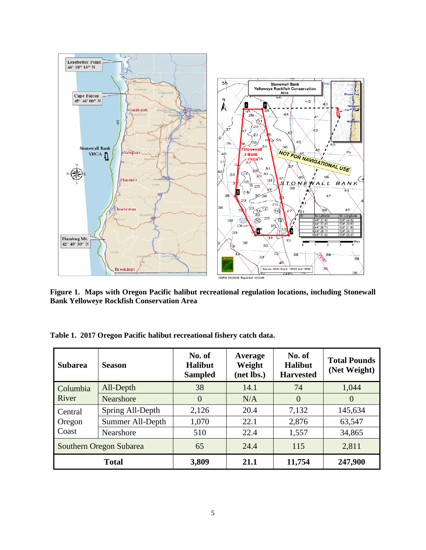

**Figure 1. Maps with Oregon Pacific halibut recreational regulation locations, including Stonewall Bank Yelloweye Rockfish Conservation Area**

| <b>Subarea</b>             | <b>Season</b>    | No. of<br><b>Halibut</b><br><b>Sampled</b> | Average<br>Weight<br>(net lbs.) | No. of<br><b>Halibut</b><br><b>Harvested</b> | <b>Total Pounds</b><br>(Net Weight) |
|----------------------------|------------------|--------------------------------------------|---------------------------------|----------------------------------------------|-------------------------------------|
| Columbia<br>River          | All-Depth        | 38                                         | 14.1                            | 74                                           | 1,044                               |
|                            | <b>Nearshore</b> | $\theta$                                   | N/A                             | $\overline{0}$                               | $\theta$                            |
| Central<br>Oregon<br>Coast | Spring All-Depth | 2,126                                      | 20.4                            | 7,132                                        | 145,634                             |
|                            | Summer All-Depth | 1,070                                      | 22.1                            | 2,876                                        | 63,547                              |
|                            | Nearshore        | 510                                        | 22.4                            | 1,557                                        | 34,865                              |
| Southern Oregon Subarea    |                  | 65                                         | 24.4                            | 115                                          | 2,811                               |
| <b>Total</b>               |                  | 3,809                                      | 21.1                            | 11,754                                       | 247,900                             |

**Table 1. 2017 Oregon Pacific halibut recreational fishery catch data.**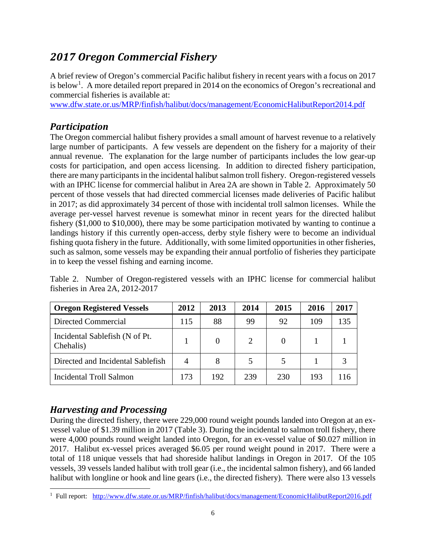## *2017 Oregon Commercial Fishery*

A brief review of Oregon's commercial Pacific halibut fishery in recent years with a focus on 2017 is below<sup>1</sup>. A more detailed report prepared in 2014 on the economics of Oregon's recreational and commercial fisheries is available at:

www.dfw.state.or.us/MRP/finfish/halibut/docs/management/EconomicHalibutReport2014.pdf

## *Participation*

The Oregon commercial halibut fishery provides a small amount of harvest revenue to a relatively large number of participants. A few vessels are dependent on the fishery for a majority of their annual revenue. The explanation for the large number of participants includes the low gear-up costs for participation, and open access licensing. In addition to directed fishery participation, there are many participants in the incidental halibut salmon troll fishery. Oregon-registered vessels with an IPHC license for commercial halibut in Area 2A are shown in Table 2. Approximately 50 percent of those vessels that had directed commercial licenses made deliveries of Pacific halibut in 2017; as did approximately 34 percent of those with incidental troll salmon licenses. While the average per-vessel harvest revenue is somewhat minor in recent years for the directed halibut fishery (\$1,000 to \$10,000), there may be some participation motivated by wanting to continue a landings history if this currently open-access, derby style fishery were to become an individual fishing quota fishery in the future. Additionally, with some limited opportunities in other fisheries, such as salmon, some vessels may be expanding their annual portfolio of fisheries they participate in to keep the vessel fishing and earning income.

Table 2. Number of Oregon-registered vessels with an IPHC license for commercial halibut fisheries in Area 2A, 2012-2017

| <b>Oregon Registered Vessels</b>            | 2012 | 2013 | 2014 | 2015     | 2016 | 2017 |
|---------------------------------------------|------|------|------|----------|------|------|
| Directed Commercial                         | 115  | 88   | 99   | 92       | 109  | 135  |
| Incidental Sablefish (N of Pt.<br>Chehalis) |      | 0    | 2    | $\Omega$ |      |      |
| Directed and Incidental Sablefish           | 4    | 8    |      |          |      |      |
| Incidental Troll Salmon                     | 173  | 192  | 239  | 230      | 193  |      |

## *Harvesting and Processing*

During the directed fishery, there were 229,000 round weight pounds landed into Oregon at an exvessel value of \$1.39 million in 2017 (Table 3). During the incidental to salmon troll fishery, there were 4,000 pounds round weight landed into Oregon, for an ex-vessel value of \$0.027 million in 2017. Halibut ex-vessel prices averaged \$6.05 per round weight pound in 2017. There were a total of 118 unique vessels that had shoreside halibut landings in Oregon in 2017. Of the 105 vessels, 39 vessels landed halibut with troll gear (i.e., the incidental salmon fishery), and 66 landed halibut with longline or hook and line gears (i.e., the directed fishery). There were also 13 vessels

<sup>|&</sup>lt;br>|<br>| <sup>1</sup> Full report: http://www.dfw.state.or.us/MRP/finfish/halibut/docs/management/EconomicHalibutReport2016.pdf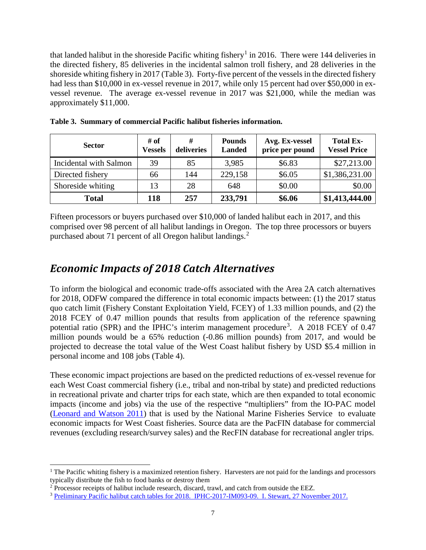that landed halibut in the shoreside Pacific whiting fishery<sup>1</sup> in 2016. There were 144 deliveries in the directed fishery, 85 deliveries in the incidental salmon troll fishery, and 28 deliveries in the shoreside whiting fishery in 2017 (Table 3). Forty-five percent of the vessels in the directed fishery had less than \$10,000 in ex-vessel revenue in 2017, while only 15 percent had over \$50,000 in exvessel revenue. The average ex-vessel revenue in 2017 was \$21,000, while the median was approximately \$11,000.

| <b>Sector</b>          | # of<br><b>Vessels</b> | #<br>deliveries | <b>Pounds</b><br><b>Landed</b> | Avg. Ex-vessel<br>price per pound | <b>Total Ex-</b><br><b>Vessel Price</b> |  |
|------------------------|------------------------|-----------------|--------------------------------|-----------------------------------|-----------------------------------------|--|
| Incidental with Salmon | 39                     | 85              | 3,985                          | \$6.83                            | \$27,213.00                             |  |
| Directed fishery       | 66                     | 144             | 229,158                        | \$6.05                            | \$1,386,231.00                          |  |
| Shoreside whiting      | 13                     | 28              | 648                            | \$0.00                            | \$0.00                                  |  |
| <b>Total</b>           | 118                    | 257             | 233,791                        | \$6.06                            | \$1,413,444.00                          |  |

**Table 3. Summary of commercial Pacific halibut fisheries information.**

Fifteen processors or buyers purchased over \$10,000 of landed halibut each in 2017, and this comprised over 98 percent of all halibut landings in Oregon. The top three processors or buyers purchased about 71 percent of all Oregon halibut landings.<sup>2</sup>

## *Economic Impacts of 2018 Catch Alternatives*

To inform the biological and economic trade-offs associated with the Area 2A catch alternatives for 2018, ODFW compared the difference in total economic impacts between: (1) the 2017 status quo catch limit (Fishery Constant Exploitation Yield, FCEY) of 1.33 million pounds, and (2) the 2018 FCEY of 0.47 million pounds that results from application of the reference spawning potential ratio (SPR) and the IPHC's interim management procedure<sup>3</sup>. A 2018 FCEY of 0.47 million pounds would be a 65% reduction (-0.86 million pounds) from 2017, and would be projected to decrease the total value of the West Coast halibut fishery by USD \$5.4 million in personal income and 108 jobs (Table 4).

These economic impact projections are based on the predicted reductions of ex-vessel revenue for each West Coast commercial fishery (i.e., tribal and non-tribal by state) and predicted reductions in recreational private and charter trips for each state, which are then expanded to total economic impacts (income and jobs) via the use of the respective "multipliers" from the IO-PAC model (Leonard and Watson 2011) that is used by the National Marine Fisheries Service to evaluate economic impacts for West Coast fisheries. Source data are the PacFIN database for commercial revenues (excluding research/survey sales) and the RecFIN database for recreational angler trips.

 $<sup>1</sup>$  The Pacific whiting fishery is a maximized retention fishery. Harvesters are not paid for the landings and processors</sup> typically distribute the fish to food banks or destroy them

<sup>2</sup> Processor receipts of halibut include research, discard, trawl, and catch from outside the EEZ.

<sup>3</sup> Preliminary Pacific halibut catch tables for 2018. IPHC-2017-IM093-09. I. Stewart, 27 November 2017.